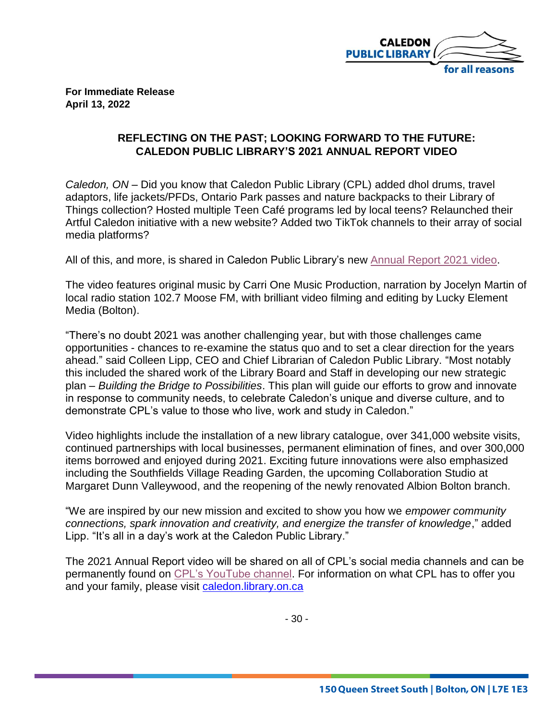

**For Immediate Release April 13, 2022**

## **REFLECTING ON THE PAST; LOOKING FORWARD TO THE FUTURE: CALEDON PUBLIC LIBRARY'S 2021 ANNUAL REPORT VIDEO**

*Caledon, ON* – Did you know that Caledon Public Library (CPL) added dhol drums, travel adaptors, life jackets/PFDs, Ontario Park passes and nature backpacks to their Library of Things collection? Hosted multiple Teen Café programs led by local teens? Relaunched their Artful Caledon initiative with a new website? Added two TikTok channels to their array of social media platforms?

All of this, and more, is shared in Caledon Public Library's new [Annual Report 2021 video.](https://youtu.be/JffzpegzfmQ)

The video features original music by Carri One Music Production, narration by Jocelyn Martin of local radio station 102.7 Moose FM, with brilliant video filming and editing by Lucky Element Media (Bolton).

"There's no doubt 2021 was another challenging year, but with those challenges came opportunities - chances to re-examine the status quo and to set a clear direction for the years ahead." said Colleen Lipp, CEO and Chief Librarian of Caledon Public Library. "Most notably this included the shared work of the Library Board and Staff in developing our new strategic plan – *Building the Bridge to Possibilities*. This plan will guide our efforts to grow and innovate in response to community needs, to celebrate Caledon's unique and diverse culture, and to demonstrate CPL's value to those who live, work and study in Caledon."

Video highlights include the installation of a new library catalogue, over 341,000 website visits, continued partnerships with local businesses, permanent elimination of fines, and over 300,000 items borrowed and enjoyed during 2021. Exciting future innovations were also emphasized including the Southfields Village Reading Garden, the upcoming Collaboration Studio at Margaret Dunn Valleywood, and the reopening of the newly renovated Albion Bolton branch.

"We are inspired by our new mission and excited to show you how we *empower community connections, spark innovation and creativity, and energize the transfer of knowledge*," added Lipp. "It's all in a day's work at the Caledon Public Library."

The 2021 Annual Report video will be shared on all of CPL's social media channels and can be permanently found on [CPL's YouTube channel.](https://www.youtube.com/watch?v=NgkiGiThFXQ) For information on what CPL has to offer you and your family, please visit [caledon.library.on.ca](https://caledon.library.on.ca/)

- 30 -